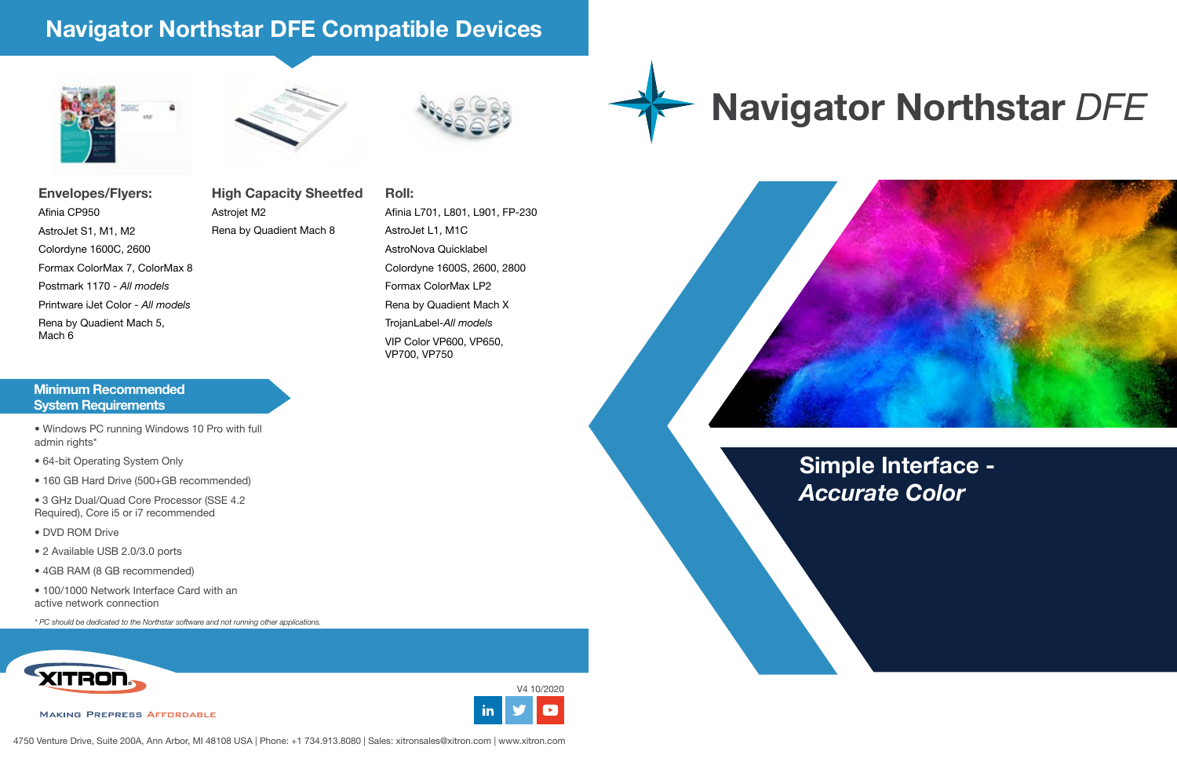

## **Navigator Northstar** *DFE*

#### **Minimum Recommended System Requirements**

- Windows PC running Windows 10 Pro with full admin rights\*
- 64-bit Operating System Only
- 160 GB Hard Drive (500+GB recommended)
- 3 GHz Dual/Quad Core Processor (SSE 4.2 Required), Core i5 or i7 recommended
- DVD ROM Drive
- 2 Available USB 2.0/3.0 ports
- 4GB RAM (8 GB recommended)
- 100/1000 Network Interface Card with an active network connection

*\* PC should be dedicated to the Northstar software and not running other applications.*





### **Navigator Northstar DFE Compatible Devices**





**Envelopes/Flyers: High Capacity Sheetfed Roll:** Afinia CP950 AstroJet S1, M1, M2 Colordyne 1600C, 2600 Formax ColorMax 7, ColorMax 8 Postmark 1170 - *All models* Printware iJet Color - *All models* Rena by Quadient Mach 5, Mach 6

## Astrojet M2 Rena by Quadient Mach 8

Afinia L701, L801, L901, FP-230 AstroJet L1, M1C AstroNova Quicklabel Colordyne 1600S, 2600, 2800 Formax ColorMax LP2 Rena by Quadient Mach X TrojanLabel-*All models* VIP Color VP600, VP650, VP700, VP750